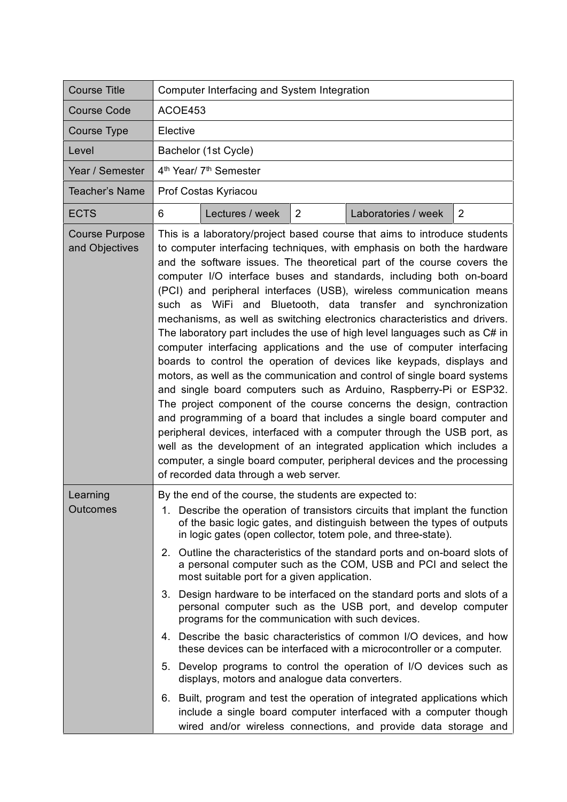| <b>Course Title</b>                     | Computer Interfacing and System Integration                                                                                                                                                                                                                                                                                                                                                                                                                                                                                                                                                                                                                                                                                                                                                                                                                                                                                                                                                                                                                                                                                                                                                                                                                                                                                           |  |  |
|-----------------------------------------|---------------------------------------------------------------------------------------------------------------------------------------------------------------------------------------------------------------------------------------------------------------------------------------------------------------------------------------------------------------------------------------------------------------------------------------------------------------------------------------------------------------------------------------------------------------------------------------------------------------------------------------------------------------------------------------------------------------------------------------------------------------------------------------------------------------------------------------------------------------------------------------------------------------------------------------------------------------------------------------------------------------------------------------------------------------------------------------------------------------------------------------------------------------------------------------------------------------------------------------------------------------------------------------------------------------------------------------|--|--|
| <b>Course Code</b>                      | ACOE453                                                                                                                                                                                                                                                                                                                                                                                                                                                                                                                                                                                                                                                                                                                                                                                                                                                                                                                                                                                                                                                                                                                                                                                                                                                                                                                               |  |  |
| Course Type                             | Elective                                                                                                                                                                                                                                                                                                                                                                                                                                                                                                                                                                                                                                                                                                                                                                                                                                                                                                                                                                                                                                                                                                                                                                                                                                                                                                                              |  |  |
| Level                                   | Bachelor (1st Cycle)                                                                                                                                                                                                                                                                                                                                                                                                                                                                                                                                                                                                                                                                                                                                                                                                                                                                                                                                                                                                                                                                                                                                                                                                                                                                                                                  |  |  |
| Year / Semester                         | 4 <sup>th</sup> Year/ 7 <sup>th</sup> Semester                                                                                                                                                                                                                                                                                                                                                                                                                                                                                                                                                                                                                                                                                                                                                                                                                                                                                                                                                                                                                                                                                                                                                                                                                                                                                        |  |  |
| <b>Teacher's Name</b>                   | Prof Costas Kyriacou                                                                                                                                                                                                                                                                                                                                                                                                                                                                                                                                                                                                                                                                                                                                                                                                                                                                                                                                                                                                                                                                                                                                                                                                                                                                                                                  |  |  |
| <b>ECTS</b>                             | $\overline{2}$<br>Lectures / week<br>2<br>Laboratories / week<br>6                                                                                                                                                                                                                                                                                                                                                                                                                                                                                                                                                                                                                                                                                                                                                                                                                                                                                                                                                                                                                                                                                                                                                                                                                                                                    |  |  |
| <b>Course Purpose</b><br>and Objectives | This is a laboratory/project based course that aims to introduce students<br>to computer interfacing techniques, with emphasis on both the hardware<br>and the software issues. The theoretical part of the course covers the<br>computer I/O interface buses and standards, including both on-board<br>(PCI) and peripheral interfaces (USB), wireless communication means<br>such as WiFi and Bluetooth, data transfer and synchronization<br>mechanisms, as well as switching electronics characteristics and drivers.<br>The laboratory part includes the use of high level languages such as C# in<br>computer interfacing applications and the use of computer interfacing<br>boards to control the operation of devices like keypads, displays and<br>motors, as well as the communication and control of single board systems<br>and single board computers such as Arduino, Raspberry-Pi or ESP32.<br>The project component of the course concerns the design, contraction<br>and programming of a board that includes a single board computer and<br>peripheral devices, interfaced with a computer through the USB port, as<br>well as the development of an integrated application which includes a<br>computer, a single board computer, peripheral devices and the processing<br>of recorded data through a web server. |  |  |
| Learning<br>Outcomes                    | By the end of the course, the students are expected to:<br>1. Describe the operation of transistors circuits that implant the function<br>of the basic logic gates, and distinguish between the types of outputs<br>in logic gates (open collector, totem pole, and three-state).<br>2. Outline the characteristics of the standard ports and on-board slots of<br>a personal computer such as the COM, USB and PCI and select the<br>most suitable port for a given application.<br>3. Design hardware to be interfaced on the standard ports and slots of a<br>personal computer such as the USB port, and develop computer<br>programs for the communication with such devices.<br>4. Describe the basic characteristics of common I/O devices, and how<br>these devices can be interfaced with a microcontroller or a computer.<br>5. Develop programs to control the operation of I/O devices such as<br>displays, motors and analogue data converters.<br>6. Built, program and test the operation of integrated applications which<br>include a single board computer interfaced with a computer though<br>wired and/or wireless connections, and provide data storage and                                                                                                                                                     |  |  |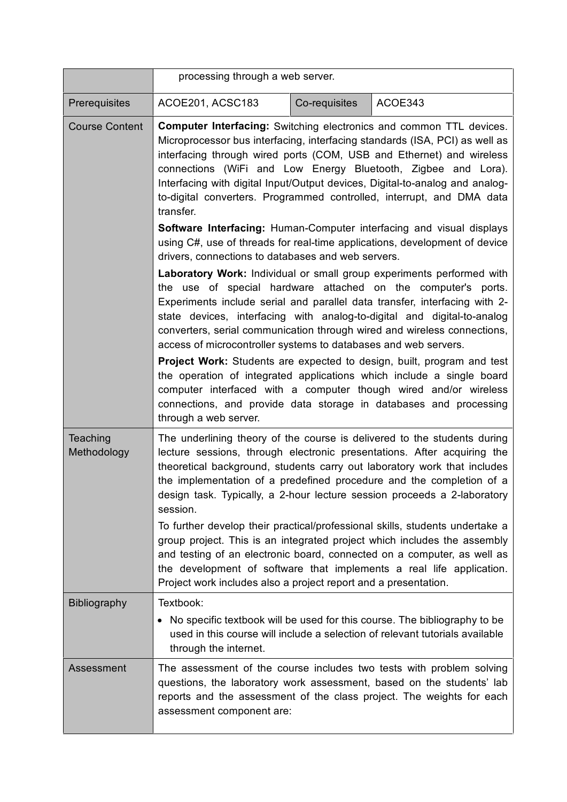|                         | processing through a web server.                                                                                                                                                                                                                                                                                                                                                                                                                                                                                                                                                                                                                                                     |               |                                                                                                                                                                                                                                                                                                                                                                                     |
|-------------------------|--------------------------------------------------------------------------------------------------------------------------------------------------------------------------------------------------------------------------------------------------------------------------------------------------------------------------------------------------------------------------------------------------------------------------------------------------------------------------------------------------------------------------------------------------------------------------------------------------------------------------------------------------------------------------------------|---------------|-------------------------------------------------------------------------------------------------------------------------------------------------------------------------------------------------------------------------------------------------------------------------------------------------------------------------------------------------------------------------------------|
| Prerequisites           | ACOE201, ACSC183                                                                                                                                                                                                                                                                                                                                                                                                                                                                                                                                                                                                                                                                     | Co-requisites | ACOE343                                                                                                                                                                                                                                                                                                                                                                             |
| <b>Course Content</b>   | <b>Computer Interfacing:</b> Switching electronics and common TTL devices.<br>Microprocessor bus interfacing, interfacing standards (ISA, PCI) as well as<br>interfacing through wired ports (COM, USB and Ethernet) and wireless<br>connections (WiFi and Low Energy Bluetooth, Zigbee and Lora).<br>Interfacing with digital Input/Output devices, Digital-to-analog and analog-<br>to-digital converters. Programmed controlled, interrupt, and DMA data<br>transfer.<br>Software Interfacing: Human-Computer interfacing and visual displays<br>using C#, use of threads for real-time applications, development of device<br>drivers, connections to databases and web servers. |               |                                                                                                                                                                                                                                                                                                                                                                                     |
|                         |                                                                                                                                                                                                                                                                                                                                                                                                                                                                                                                                                                                                                                                                                      |               |                                                                                                                                                                                                                                                                                                                                                                                     |
|                         | access of microcontroller systems to databases and web servers.                                                                                                                                                                                                                                                                                                                                                                                                                                                                                                                                                                                                                      |               | Laboratory Work: Individual or small group experiments performed with<br>the use of special hardware attached on the computer's ports.<br>Experiments include serial and parallel data transfer, interfacing with 2-<br>state devices, interfacing with analog-to-digital and digital-to-analog<br>converters, serial communication through wired and wireless connections,         |
|                         | through a web server.                                                                                                                                                                                                                                                                                                                                                                                                                                                                                                                                                                                                                                                                |               | <b>Project Work:</b> Students are expected to design, built, program and test<br>the operation of integrated applications which include a single board<br>computer interfaced with a computer though wired and/or wireless<br>connections, and provide data storage in databases and processing                                                                                     |
| Teaching<br>Methodology | session.                                                                                                                                                                                                                                                                                                                                                                                                                                                                                                                                                                                                                                                                             |               | The underlining theory of the course is delivered to the students during<br>lecture sessions, through electronic presentations. After acquiring the<br>theoretical background, students carry out laboratory work that includes<br>the implementation of a predefined procedure and the completion of a<br>design task. Typically, a 2-hour lecture session proceeds a 2-laboratory |
|                         | Project work includes also a project report and a presentation.                                                                                                                                                                                                                                                                                                                                                                                                                                                                                                                                                                                                                      |               | To further develop their practical/professional skills, students undertake a<br>group project. This is an integrated project which includes the assembly<br>and testing of an electronic board, connected on a computer, as well as<br>the development of software that implements a real life application.                                                                         |
| <b>Bibliography</b>     | Textbook:<br>• No specific textbook will be used for this course. The bibliography to be<br>through the internet.                                                                                                                                                                                                                                                                                                                                                                                                                                                                                                                                                                    |               | used in this course will include a selection of relevant tutorials available                                                                                                                                                                                                                                                                                                        |
| Assessment              | assessment component are:                                                                                                                                                                                                                                                                                                                                                                                                                                                                                                                                                                                                                                                            |               | The assessment of the course includes two tests with problem solving<br>questions, the laboratory work assessment, based on the students' lab<br>reports and the assessment of the class project. The weights for each                                                                                                                                                              |